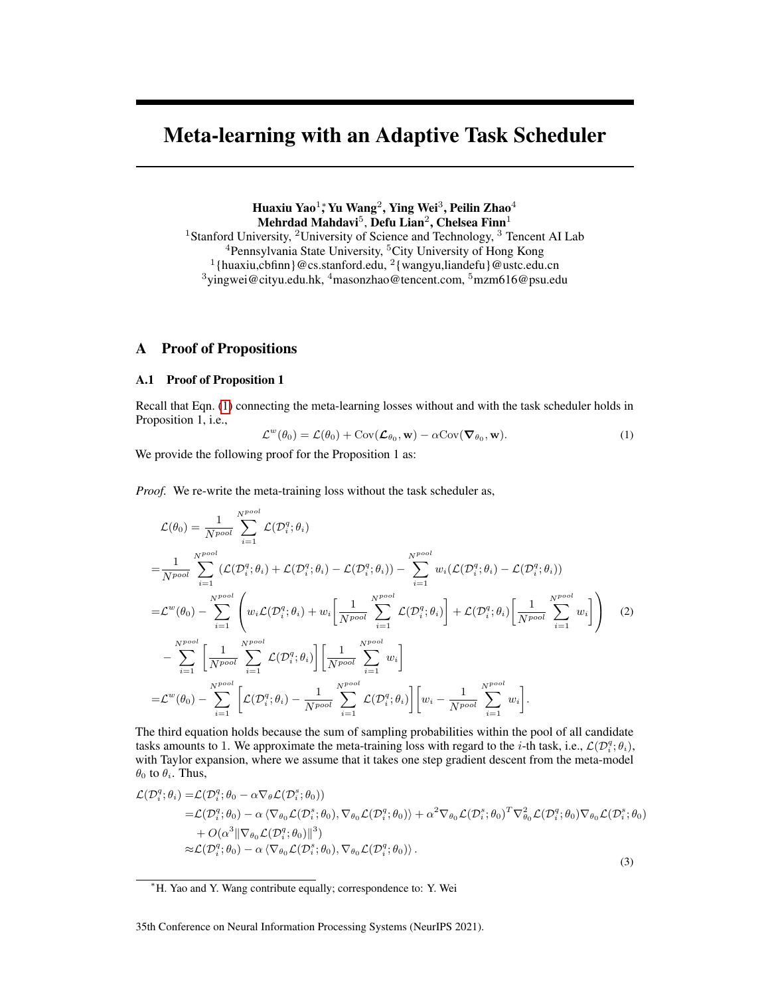# Meta-learning with an Adaptive Task Scheduler

Huaxiu Yao<sup>1</sup>; Yu Wang<sup>2</sup>, Ying Wei<sup>3</sup>, Peilin Zhao<sup>4</sup> Mehrdad Mahdavi $^5$ , Defu Lian $^2$ , Chelsea Finn $^1$ <sup>1</sup>Stanford University, <sup>2</sup>University of Science and Technology, <sup>3</sup> Tencent AI Lab <sup>4</sup>Pennsylvania State University, <sup>5</sup>City University of Hong Kong<br><sup>1</sup>{huaxiu,cbfinn}@cs.stanford.edu, <sup>2</sup>{wangyu,liandefu}@ustc.edu.cn  $3$ yingwei@cityu.edu.hk,  $4$ masonzhao@tencent.com,  $5$ mzm616@psu.edu

# A Proof of Propositions

# A.1 Proof of Proposition 1

Recall that Eqn. [\(1\)](#page-0-0) connecting the meta-learning losses without and with the task scheduler holds in Proposition 1, i.e.,

<span id="page-0-2"></span><span id="page-0-0"></span>
$$
\mathcal{L}^{w}(\theta_0) = \mathcal{L}(\theta_0) + \text{Cov}(\mathcal{L}_{\theta_0}, \mathbf{w}) - \alpha \text{Cov}(\nabla_{\theta_0}, \mathbf{w}).
$$
\n(1)

We provide the following proof for the Proposition 1 as:

*Proof.* We re-write the meta-training loss without the task scheduler as,

$$
\mathcal{L}(\theta_0) = \frac{1}{N^{pool}} \sum_{i=1}^{N^{pool}} \mathcal{L}(\mathcal{D}_i^q; \theta_i)
$$
\n
$$
= \frac{1}{N^{pool}} \sum_{i=1}^{N^{pool}} (\mathcal{L}(\mathcal{D}_i^q; \theta_i) + \mathcal{L}(\mathcal{D}_i^q; \theta_i) - \mathcal{L}(\mathcal{D}_i^q; \theta_i)) - \sum_{i=1}^{N^{pool}} w_i(\mathcal{L}(\mathcal{D}_i^q; \theta_i) - \mathcal{L}(\mathcal{D}_i^q; \theta_i))
$$
\n
$$
= \mathcal{L}^w(\theta_0) - \sum_{i=1}^{N^{pool}} \left( w_i \mathcal{L}(\mathcal{D}_i^q; \theta_i) + w_i \left[ \frac{1}{N^{pool}} \sum_{i=1}^{N^{pool}} \mathcal{L}(\mathcal{D}_i^q; \theta_i) \right] + \mathcal{L}(\mathcal{D}_i^q; \theta_i) \left[ \frac{1}{N^{pool}} \sum_{i=1}^{N^{pool}} w_i \right] \right) \tag{2}
$$
\n
$$
- \sum_{i=1}^{N^{pool}} \left[ \frac{1}{N^{pool}} \sum_{i=1}^{N^{pool}} \mathcal{L}(\mathcal{D}_i^q; \theta_i) \right] \left[ \frac{1}{N^{pool}} \sum_{i=1}^{N^{pool}} w_i \right]
$$
\n
$$
= \mathcal{L}^w(\theta_0) - \sum_{i=1}^{N^{pool}} \left[ \mathcal{L}(\mathcal{D}_i^q; \theta_i) - \frac{1}{N^{pool}} \sum_{i=1}^{N^{pool}} \mathcal{L}(\mathcal{D}_i^q; \theta_i) \right] \left[ w_i - \frac{1}{N^{pool}} \sum_{i=1}^{N^{pool}} w_i \right].
$$

The third equation holds because the sum of sampling probabilities within the pool of all candidate tasks amounts to 1. We approximate the meta-training loss with regard to the *i*-th task, i.e.,  $\mathcal{L}(\mathcal{D}_i^q; \theta_i)$ , with Taylor expansion, where we assume that it takes one step gradient descent from the meta-model  $\theta_0$  to  $\theta_i$ . Thus,

<span id="page-0-1"></span>
$$
\mathcal{L}(\mathcal{D}_i^q; \theta_i) = \mathcal{L}(\mathcal{D}_i^q; \theta_0 - \alpha \nabla_{\theta} \mathcal{L}(\mathcal{D}_i^s; \theta_0)) \n= \mathcal{L}(\mathcal{D}_i^q; \theta_0) - \alpha \langle \nabla_{\theta_0} \mathcal{L}(\mathcal{D}_i^s; \theta_0), \nabla_{\theta_0} \mathcal{L}(\mathcal{D}_i^q; \theta_0) \rangle + \alpha^2 \nabla_{\theta_0} \mathcal{L}(\mathcal{D}_i^s; \theta_0)^T \nabla_{\theta_0}^2 \mathcal{L}(\mathcal{D}_i^q; \theta_0) \nabla_{\theta_0} \mathcal{L}(\mathcal{D}_i^s; \theta_0) \n+ O(\alpha^3 || \nabla_{\theta_0} \mathcal{L}(\mathcal{D}_i^q; \theta_0) ||^3) \n\approx \mathcal{L}(\mathcal{D}_i^q; \theta_0) - \alpha \langle \nabla_{\theta_0} \mathcal{L}(\mathcal{D}_i^s; \theta_0), \nabla_{\theta_0} \mathcal{L}(\mathcal{D}_i^q; \theta_0) \rangle.
$$
\n(3)

35th Conference on Neural Information Processing Systems (NeurIPS 2021).

<sup>∗</sup>H. Yao and Y. Wang contribute equally; correspondence to: Y. Wei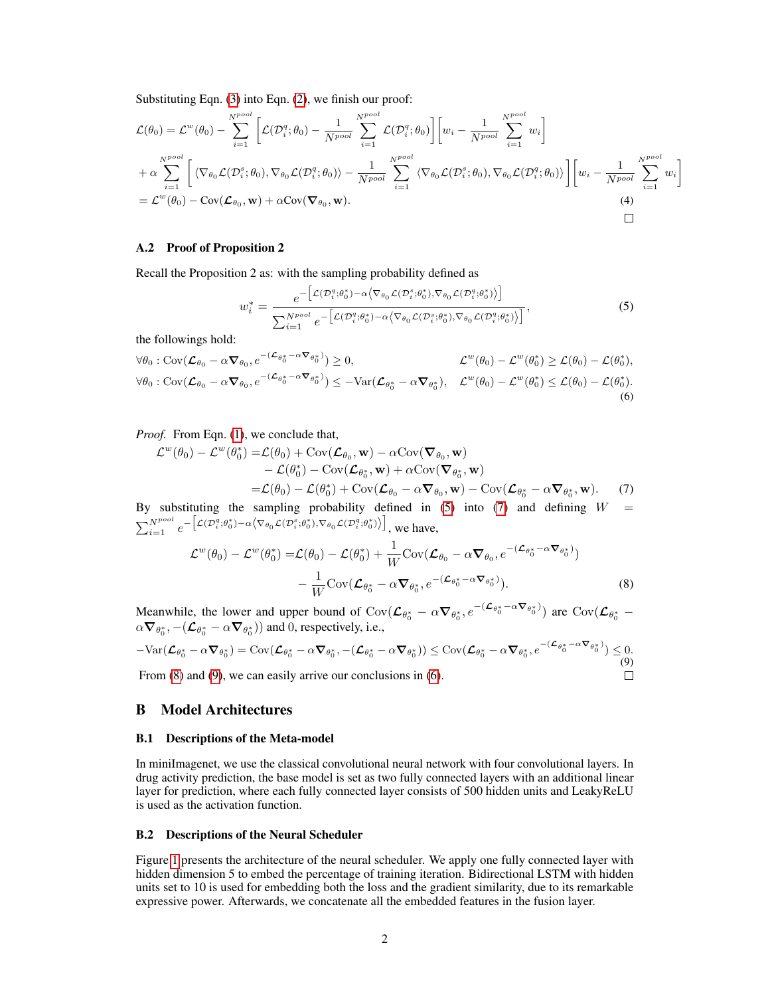Substituting Eqn. [\(3\)](#page-0-1) into Eqn. [\(2\)](#page-0-2), we finish our proof:

$$
\mathcal{L}(\theta_0) = \mathcal{L}^w(\theta_0) - \sum_{i=1}^{N^{pool}} \left[ \mathcal{L}(\mathcal{D}_i^q; \theta_0) - \frac{1}{N^{pool}} \sum_{i=1}^{N^{pool}} \mathcal{L}(\mathcal{D}_i^q; \theta_0) \right] \left[ w_i - \frac{1}{N^{pool}} \sum_{i=1}^{N^{pool}} w_i \right] \n+ \alpha \sum_{i=1}^{N^{pool}} \left[ \langle \nabla_{\theta_0} \mathcal{L}(\mathcal{D}_i^s; \theta_0), \nabla_{\theta_0} \mathcal{L}(\mathcal{D}_i^q; \theta_0) \rangle - \frac{1}{N^{pool}} \sum_{i=1}^{N^{pool}} \langle \nabla_{\theta_0} \mathcal{L}(\mathcal{D}_i^s; \theta_0), \nabla_{\theta_0} \mathcal{L}(\mathcal{D}_i^q; \theta_0) \rangle \right] \left[ w_i - \frac{1}{N^{pool}} \sum_{i=1}^{N^{pool}} w_i \right] \n= \mathcal{L}^w(\theta_0) - \text{Cov}(\mathcal{L}_{\theta_0}, \mathbf{w}) + \alpha \text{Cov}(\mathbf{\nabla}_{\theta_0}, \mathbf{w}).
$$
\n(4)

### A.2 Proof of Proposition 2

Recall the Proposition 2 as: with the sampling probability defined as

<span id="page-1-4"></span><span id="page-1-1"></span><span id="page-1-0"></span>
$$
w_i^* = \frac{e^{-\left[\mathcal{L}(\mathcal{D}_i^q; \theta_0^*) - \alpha \left\langle \nabla_{\theta_0} \mathcal{L}(\mathcal{D}_i^s; \theta_0^*) , \nabla_{\theta_0} \mathcal{L}(\mathcal{D}_i^q; \theta_0^*) \right\rangle\right]}}{\sum_{i=1}^{N^{pool}} e^{-\left[\mathcal{L}(\mathcal{D}_i^q; \theta_0^*) - \alpha \left\langle \nabla_{\theta_0} \mathcal{L}(\mathcal{D}_i^s; \theta_0^*) , \nabla_{\theta_0} \mathcal{L}(\mathcal{D}_i^q; \theta_0^*) \right\rangle\right]}},
$$
\n(5)

the followings hold:

$$
\forall \theta_0 : \text{Cov}(\mathcal{L}_{\theta_0} - \alpha \nabla_{\theta_0}, e^{-(\mathcal{L}_{\theta_0^*} - \alpha \nabla_{\theta_0^*})}) \ge 0, \qquad \mathcal{L}^w(\theta_0) - \mathcal{L}^w(\theta_0^*) \ge \mathcal{L}(\theta_0) - \mathcal{L}(\theta_0^*),
$$
  

$$
\forall \theta_0 : \text{Cov}(\mathcal{L}_{\theta_0} - \alpha \nabla_{\theta_0}, e^{-(\mathcal{L}_{\theta_0^*} - \alpha \nabla_{\theta_0^*})}) \le -\text{Var}(\mathcal{L}_{\theta_0^*} - \alpha \nabla_{\theta_0^*}), \quad \mathcal{L}^w(\theta_0) - \mathcal{L}^w(\theta_0^*) \le \mathcal{L}(\theta_0) - \mathcal{L}(\theta_0^*).
$$
  
(6)

*Proof.* From Eqn. [\(1\)](#page-0-0), we conclude that,

$$
\mathcal{L}^{w}(\theta_{0}) - \mathcal{L}^{w}(\theta_{0}^{*}) = \mathcal{L}(\theta_{0}) + \text{Cov}(\mathcal{L}_{\theta_{0}}, \mathbf{w}) - \alpha \text{Cov}(\nabla_{\theta_{0}}, \mathbf{w}) \n- \mathcal{L}(\theta_{0}^{*}) - \text{Cov}(\mathcal{L}_{\theta_{0}^{*}}, \mathbf{w}) + \alpha \text{Cov}(\nabla_{\theta_{0}^{*}}, \mathbf{w}) \n= \mathcal{L}(\theta_{0}) - \mathcal{L}(\theta_{0}^{*}) + \text{Cov}(\mathcal{L}_{\theta_{0}} - \alpha \nabla_{\theta_{0}}, \mathbf{w}) - \text{Cov}(\mathcal{L}_{\theta_{0}^{*}} - \alpha \nabla_{\theta_{0}^{*}}, \mathbf{w}).
$$
\n(7)

By substituting the sampling probability defined in  $(5)$  into  $(7)$  and defining  $W =$  $\sum_{i=1}^{N^{pool}} e^{-\left[\mathcal{L}(\mathcal{D}_i^q; \theta_0^*) - \alpha \left\langle \nabla_{\theta_0} \mathcal{L}(\mathcal{D}_i^s; \theta_0^*) , \nabla_{\theta_0} \mathcal{L}(\mathcal{D}_i^q; \theta_0^*) \right\rangle \right]}$ , we have,

<span id="page-1-3"></span><span id="page-1-2"></span>
$$
\mathcal{L}^{w}(\theta_{0}) - \mathcal{L}^{w}(\theta_{0}^{*}) = \mathcal{L}(\theta_{0}) - \mathcal{L}(\theta_{0}^{*}) + \frac{1}{W} \text{Cov}(\mathcal{L}_{\theta_{0}} - \alpha \nabla_{\theta_{0}}, e^{-(\mathcal{L}_{\theta_{0}^{*}} - \alpha \nabla_{\theta_{0}^{*}})}) - \frac{1}{W} \text{Cov}(\mathcal{L}_{\theta_{0}^{*}} - \alpha \nabla_{\theta_{0}^{*}}, e^{-(\mathcal{L}_{\theta_{0}^{*}} - \alpha \nabla_{\theta_{0}^{*}})}).
$$
\n(8)

Meanwhile, the lower and upper bound of  $Cov(\mathcal{L}_{\theta_0^*} - \alpha \nabla_{\theta_0^*}, e^{-(\mathcal{L}_{\theta_0^*} - \alpha \nabla_{\theta_0^*})})$  are  $Cov(\mathcal{L}_{\theta_0^*} - \alpha \nabla_{\theta_0^*})$  $\alpha \nabla_{\theta_0^*}, -(\mathcal{L}_{\theta_0^*} - \alpha \nabla_{\theta_0^*}))$  and 0, respectively, i.e.,

$$
-\text{Var}(\mathcal{L}_{\theta_0^*} - \alpha \nabla_{\theta_0^*}) = \text{Cov}(\mathcal{L}_{\theta_0^*} - \alpha \nabla_{\theta_0^*}, -(\mathcal{L}_{\theta_0^*} - \alpha \nabla_{\theta_0^*})) \leq \text{Cov}(\mathcal{L}_{\theta_0^*} - \alpha \nabla_{\theta_0^*}, e^{-(\mathcal{L}_{\theta_0^*} - \alpha \nabla_{\theta_0^*})}) \leq 0.
$$
\nFrom (8) and (9), we can easily arrive our conclusions in (6).

From  $(8)$  and  $(9)$ , we can easily arrive our conclusions in  $(6)$ .

### B Model Architectures

#### B.1 Descriptions of the Meta-model

In miniImagenet, we use the classical convolutional neural network with four convolutional layers. In drug activity prediction, the base model is set as two fully connected layers with an additional linear layer for prediction, where each fully connected layer consists of 500 hidden units and LeakyReLU is used as the activation function.

#### B.2 Descriptions of the Neural Scheduler

Figure [1](#page-2-0) presents the architecture of the neural scheduler. We apply one fully connected layer with hidden dimension 5 to embed the percentage of training iteration. Bidirectional LSTM with hidden units set to 10 is used for embedding both the loss and the gradient similarity, due to its remarkable expressive power. Afterwards, we concatenate all the embedded features in the fusion layer.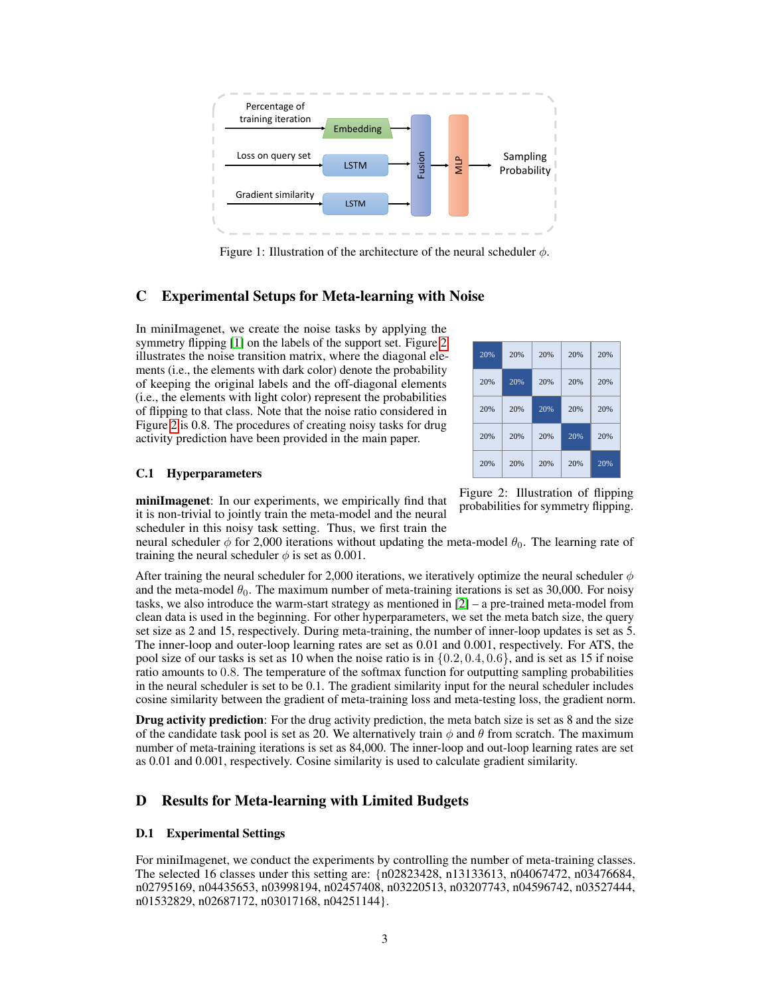<span id="page-2-0"></span>

Figure 1: Illustration of the architecture of the neural scheduler  $\phi$ .

# C Experimental Setups for Meta-learning with Noise

In miniImagenet, we create the noise tasks by applying the symmetry flipping [\[1\]](#page-3-0) on the labels of the support set. Figure [2](#page-2-1) illustrates the noise transition matrix, where the diagonal elements (i.e., the elements with dark color) denote the probability of keeping the original labels and the off-diagonal elements (i.e., the elements with light color) represent the probabilities of flipping to that class. Note that the noise ratio considered in Figure [2](#page-2-1) is 0.8. The procedures of creating noisy tasks for drug activity prediction have been provided in the main paper.

<span id="page-2-1"></span>

#### C.1 Hyperparameters

miniImagenet: In our experiments, we empirically find that it is non-trivial to jointly train the meta-model and the neural scheduler in this noisy task setting. Thus, we first train the

neural scheduler  $\phi$  for 2,000 iterations without updating the meta-model  $\theta_0$ . The learning rate of training the neural scheduler  $\phi$  is set as 0.001.

After training the neural scheduler for 2,000 iterations, we iteratively optimize the neural scheduler  $\phi$ and the meta-model  $\theta_0$ . The maximum number of meta-training iterations is set as 30,000. For noisy tasks, we also introduce the warm-start strategy as mentioned in [\[2\]](#page-3-1) – a pre-trained meta-model from clean data is used in the beginning. For other hyperparameters, we set the meta batch size, the query set size as 2 and 15, respectively. During meta-training, the number of inner-loop updates is set as 5. The inner-loop and outer-loop learning rates are set as 0.01 and 0.001, respectively. For ATS, the pool size of our tasks is set as 10 when the noise ratio is in  $\{0.2, 0.4, 0.6\}$ , and is set as 15 if noise ratio amounts to 0.8. The temperature of the softmax function for outputting sampling probabilities in the neural scheduler is set to be 0.1. The gradient similarity input for the neural scheduler includes cosine similarity between the gradient of meta-training loss and meta-testing loss, the gradient norm.

**Drug activity prediction:** For the drug activity prediction, the meta batch size is set as 8 and the size of the candidate task pool is set as 20. We alternatively train  $\phi$  and  $\theta$  from scratch. The maximum number of meta-training iterations is set as 84,000. The inner-loop and out-loop learning rates are set as 0.01 and 0.001, respectively. Cosine similarity is used to calculate gradient similarity.

# D Results for Meta-learning with Limited Budgets

### D.1 Experimental Settings

For miniImagenet, we conduct the experiments by controlling the number of meta-training classes. The selected 16 classes under this setting are: {n02823428, n13133613, n04067472, n03476684, n02795169, n04435653, n03998194, n02457408, n03220513, n03207743, n04596742, n03527444, n01532829, n02687172, n03017168, n04251144}.

Figure 2: Illustration of flipping probabilities for symmetry flipping.